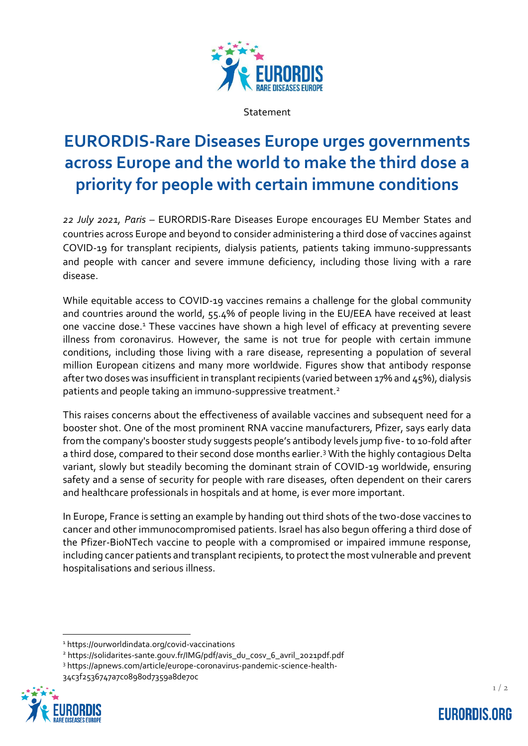

Statement

## **EURORDIS-Rare Diseases Europe urges governments across Europe and the world to make the third dose a priority for people with certain immune conditions**

*22 July 2021, Paris* – EURORDIS-Rare Diseases Europe encourages EU Member States and countries across Europe and beyond to consider administering a third dose of vaccines against COVID-19 for transplant recipients, dialysis patients, patients taking immuno-suppressants and people with cancer and severe immune deficiency, including those living with a rare disease.

While equitable access to COVID-19 vaccines remains a challenge for the global community and countries around the world, 55.4% of people living in the EU/EEA have received at least one vaccine dose.<sup>1</sup> These vaccines have shown a high level of efficacy at preventing severe illness from coronavirus. However, the same is not true for people with certain immune conditions, including those living with a rare disease, representing a population of several million European citizens and many more worldwide. Figures show that antibody response after two doses was insufficient in transplant recipients (varied between 17% and 45%), dialysis patients and people taking an immuno-suppressive treatment.<sup>2</sup>

This raises concerns about the effectiveness of available vaccines and subsequent need for a booster shot. One of the most prominent RNA vaccine manufacturers, Pfizer, says early data from the company's booster study suggests people's antibody levels jump five-to 10-fold after a third dose, compared to their second dose months earlier.<sup>3</sup> With the highly contagious Delta variant, slowly but steadily becoming the dominant strain of COVID-19 worldwide, ensuring safety and a sense of security for people with rare diseases, often dependent on their carers and healthcare professionals in hospitals and at home, is ever more important.

In Europe, France is setting an example by handing out third shots of the two-dose vaccines to cancer and other immunocompromised patients. Israel has also begun offering a third dose of the Pfizer-BioNTech vaccine to people with a compromised or impaired immune response, including cancer patients and transplant recipients, to protect the most vulnerable and prevent hospitalisations and serious illness.

<sup>3</sup> https://apnews.com/article/europe-coronavirus-pandemic-science-health-34c3f2536747a7c08980d7359a8de70c



<sup>1</sup> https://ourworldindata.org/covid-vaccinations

<sup>2</sup> https://solidarites-sante.gouv.fr/IMG/pdf/avis\_du\_cosv\_6\_avril\_2021pdf.pdf